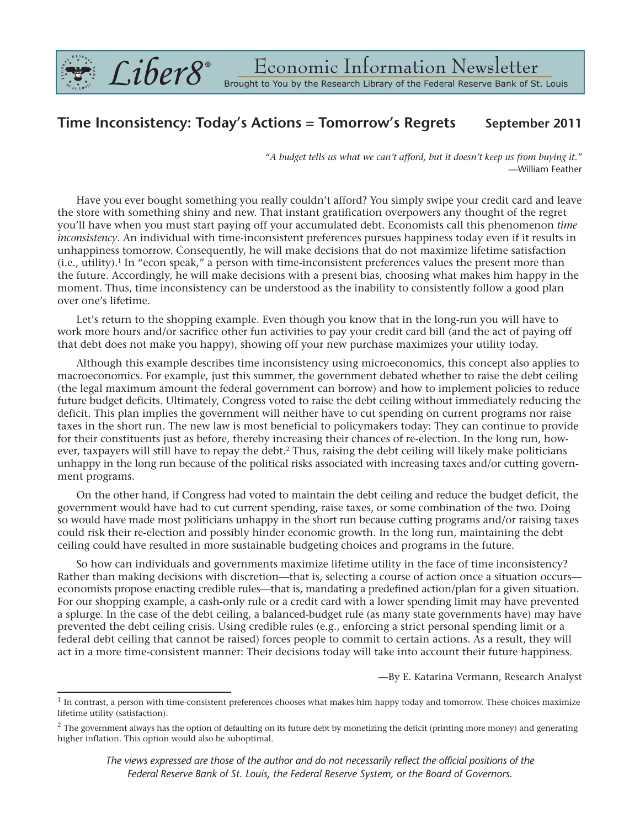

## **Time Inconsistency: Today's Actions = Tomorrow's Regrets September 2011**

*"A budget tells us what we can't afford, but it doesn't keep us from buying it."* —William Feather

Have you ever bought something you really couldn't afford? You simply swipe your credit card and leave the store with something shiny and new. That instant gratification overpowers any thought of the regret you'll have when you must start paying off your accumulated debt. Economists call this phenomenon *time inconsistency*. An individual with time-inconsistent preferences pursues happiness today even if it results in unhappiness tomorrow. Consequently, he will make decisions that do not maximize lifetime satisfaction (i.e., utility). <sup>1</sup> In "econ speak," a person with time-inconsistent preferences values the present more than the future. Accordingly, he will make decisions with a present bias, choosing what makes him happy in the moment. Thus, time inconsistency can be understood as the inability to consistently follow a good plan over one's lifetime.

Let's return to the shopping example. Even though you know that in the long-run you will have to work more hours and/or sacrifice other fun activities to pay your credit card bill (and the act of paying off that debt does not make you happy), showing off your new purchase maximizes your utility today.

Although this example describes time inconsistency using microeconomics, this concept also applies to macroeconomics. For example, just this summer, the government debated whether to raise the debt ceiling (the legal maximum amount the federal government can borrow) and how to implement policies to reduce future budget deficits. Ultimately, Congress voted to raise the debt ceiling without immediately reducing the deficit. This plan implies the government will neither have to cut spending on current programs nor raise taxes in the short run. The new law is most beneficial to policymakers today: They can continue to provide for their constituents just as before, thereby increasing their chances of re-election. In the long run, however, taxpayers will still have to repay the debt. $^2$  Thus, raising the debt ceiling will likely make politicians unhappy in the long run because of the political risks associated with increasing taxes and/or cutting government programs.

On the other hand, if Congress had voted to maintain the debt ceiling and reduce the budget deficit, the government would have had to cut current spending, raise taxes, or some combination of the two. Doing so would have made most politicians unhappy in the short run because cutting programs and/or raising taxes could risk their re-election and possibly hinder economic growth. In the long run, maintaining the debt ceiling could have resulted in more sustainable budgeting choices and programs in the future.

So how can individuals and governments maximize lifetime utility in the face of time inconsistency? Rather than making decisions with discretion—that is, selecting a course of action once a situation occurs economists propose enacting credible rules—that is, mandating a predefined action/plan for a given situation. For our shopping example, a cash-only rule or a credit card with a lower spending limit may have prevented a splurge. In the case of the debt ceiling, a balanced-budget rule (as many state governments have) may have prevented the debt ceiling crisis. Using credible rules (e.g., enforcing a strict personal spending limit or a federal debt ceiling that cannot be raised) forces people to commit to certain actions. As a result, they will act in a more time-consistent manner: Their decisions today will take into account their future happiness.

—By E. Katarina Vermann, Research Analyst

The views expressed are those of the author and do not necessarily reflect the official positions of the *Federal Reserve Bank of St. Louis, the Federal Reserve System, or the Board of Governors.*

 $1$  In contrast, a person with time-consistent preferences chooses what makes him happy today and tomorrow. These choices maximize lifetime utility (satisfaction).

 $<sup>2</sup>$  The government always has the option of defaulting on its future debt by monetizing the deficit (printing more money) and generating</sup> higher inflation. This option would also be suboptimal.